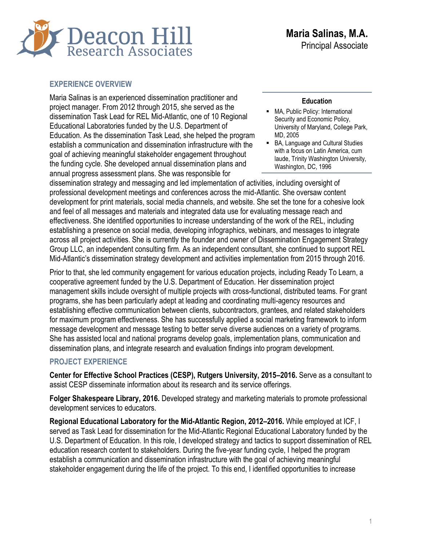

#### **EXPERIENCE OVERVIEW**

Maria Salinas is an experienced dissemination practitioner and project manager. From 2012 through 2015, she served as the dissemination Task Lead for REL Mid-Atlantic, one of 10 Regional Educational Laboratories funded by the U.S. Department of Education. As the dissemination Task Lead, she helped the program establish a communication and dissemination infrastructure with the goal of achieving meaningful stakeholder engagement throughout the funding cycle. She developed annual dissemination plans and annual progress assessment plans. She was responsible for

#### **Education**

- MA, Public Policy: International Security and Economic Policy, University of Maryland, College Park, MD, 2005
- BA, Language and Cultural Studies with a focus on Latin America, cum laude, Trinity Washington University, Washington, DC, 1996

dissemination strategy and messaging and led implementation of activities, including oversight of professional development meetings and conferences across the mid-Atlantic. She oversaw content development for print materials, social media channels, and website. She set the tone for a cohesive look and feel of all messages and materials and integrated data use for evaluating message reach and effectiveness. She identified opportunities to increase understanding of the work of the REL, including establishing a presence on social media, developing infographics, webinars, and messages to integrate across all project activities. She is currently the founder and owner of Dissemination Engagement Strategy Group LLC, an independent consulting firm. As an independent consultant, she continued to support REL Mid-Atlantic's dissemination strategy development and activities implementation from 2015 through 2016.

Prior to that, she led community engagement for various education projects, including Ready To Learn, a cooperative agreement funded by the U.S. Department of Education. Her dissemination project management skills include oversight of multiple projects with cross-functional, distributed teams. For grant programs, she has been particularly adept at leading and coordinating multi-agency resources and establishing effective communication between clients, subcontractors, grantees, and related stakeholders for maximum program effectiveness. She has successfully applied a social marketing framework to inform message development and message testing to better serve diverse audiences on a variety of programs. She has assisted local and national programs develop goals, implementation plans, communication and dissemination plans, and integrate research and evaluation findings into program development.

#### **PROJECT EXPERIENCE**

**Center for Effective School Practices (CESP), Rutgers University, 2015–2016.** Serve as a consultant to assist CESP disseminate information about its research and its service offerings.

**Folger Shakespeare Library, 2016.** Developed strategy and marketing materials to promote professional development services to educators.

**Regional Educational Laboratory for the Mid-Atlantic Region, 2012–2016.** While employed at ICF, I served as Task Lead for dissemination for the Mid-Atlantic Regional Educational Laboratory funded by the U.S. Department of Education. In this role, I developed strategy and tactics to support dissemination of REL education research content to stakeholders. During the five-year funding cycle, I helped the program establish a communication and dissemination infrastructure with the goal of achieving meaningful stakeholder engagement during the life of the project. To this end, I identified opportunities to increase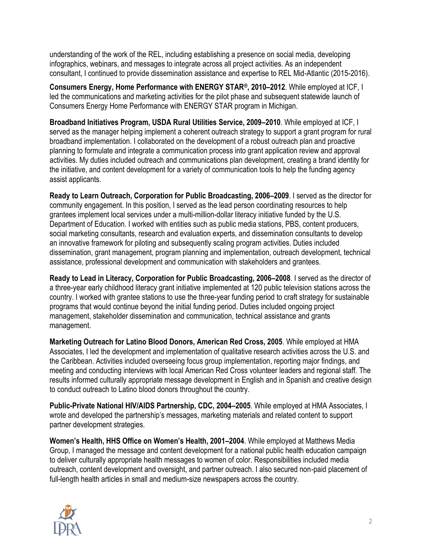understanding of the work of the REL, including establishing a presence on social media, developing infographics, webinars, and messages to integrate across all project activities. As an independent consultant, I continued to provide dissemination assistance and expertise to REL Mid-Atlantic (2015-2016).

**Consumers Energy, Home Performance with ENERGY STAR®, 2010–2012**. While employed at ICF, I led the communications and marketing activities for the pilot phase and subsequent statewide launch of Consumers Energy Home Performance with ENERGY STAR program in Michigan.

**Broadband Initiatives Program, USDA Rural Utilities Service, 2009–2010**. While employed at ICF, I served as the manager helping implement a coherent outreach strategy to support a grant program for rural broadband implementation. I collaborated on the development of a robust outreach plan and proactive planning to formulate and integrate a communication process into grant application review and approval activities. My duties included outreach and communications plan development, creating a brand identity for the initiative, and content development for a variety of communication tools to help the funding agency assist applicants.

**Ready to Learn Outreach, Corporation for Public Broadcasting, 2006–2009**. I served as the director for community engagement. In this position, I served as the lead person coordinating resources to help grantees implement local services under a multi-million-dollar literacy initiative funded by the U.S. Department of Education. I worked with entities such as public media stations, PBS, content producers, social marketing consultants, research and evaluation experts, and dissemination consultants to develop an innovative framework for piloting and subsequently scaling program activities. Duties included dissemination, grant management, program planning and implementation, outreach development, technical assistance, professional development and communication with stakeholders and grantees.

**Ready to Lead in Literacy, Corporation for Public Broadcasting, 2006–2008**. I served as the director of a three-year early childhood literacy grant initiative implemented at 120 public television stations across the country. I worked with grantee stations to use the three-year funding period to craft strategy for sustainable programs that would continue beyond the initial funding period. Duties included ongoing project management, stakeholder dissemination and communication, technical assistance and grants management.

**Marketing Outreach for Latino Blood Donors, American Red Cross, 2005**. While employed at HMA Associates, I led the development and implementation of qualitative research activities across the U.S. and the Caribbean. Activities included overseeing focus group implementation, reporting major findings, and meeting and conducting interviews with local American Red Cross volunteer leaders and regional staff. The results informed culturally appropriate message development in English and in Spanish and creative design to conduct outreach to Latino blood donors throughout the country.

**Public-Private National HIV/AIDS Partnership, CDC, 2004–2005**. While employed at HMA Associates, I wrote and developed the partnership's messages, marketing materials and related content to support partner development strategies.

**Women's Health, HHS Office on Women's Health, 2001–2004**. While employed at Matthews Media Group, I managed the message and content development for a national public health education campaign to deliver culturally appropriate health messages to women of color. Responsibilities included media outreach, content development and oversight, and partner outreach. I also secured non-paid placement of full-length health articles in small and medium-size newspapers across the country.